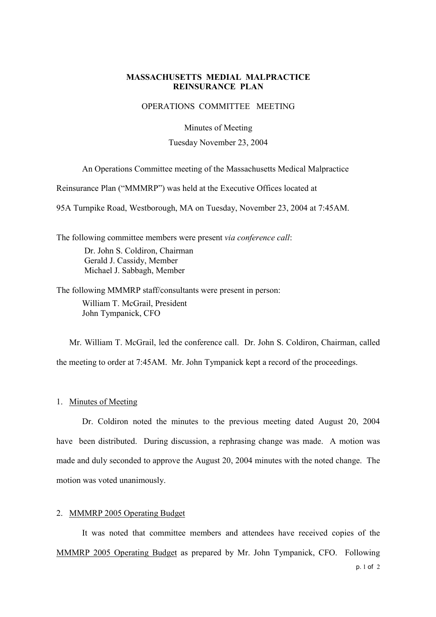## **MASSACHUSETTS MEDIAL MALPRACTICE REINSURANCE PLAN**

## OPERATIONS COMMITTEE MEETING

Minutes of Meeting

Tuesday November 23, 2004

An Operations Committee meeting of the Massachusetts Medical Malpractice

Reinsurance Plan ("MMMRP") was held at the Executive Offices located at

95A Turnpike Road, Westborough, MA on Tuesday, November 23, 2004 at 7:45AM.

The following committee members were present via conference call: Dr. John S. Coldiron, Chairman Gerald J. Cassidy, Member Michael J. Sabbagh, Member

The following MMMRP staff/consultants were present in person: William T. McGrail, President John Tympanick, CFO

Mr. William T. McGrail, led the conference call. Dr. John S. Coldiron, Chairman, called the meeting to order at 7:45AM. Mr. John Tympanick kept a record of the proceedings.

1. Minutes of Meeting

Dr. Coldiron noted the minutes to the previous meeting dated August 20, 2004 have been distributed. During discussion, a rephrasing change was made. A motion was made and duly seconded to approve the August 20, 2004 minutes with the noted change. The motion was voted unanimously.

## 2. MMMRP 2005 Operating Budget

It was noted that committee members and attendees have received copies of the MMMRP 2005 Operating Budget as prepared by Mr. John Tympanick, CFO. Following